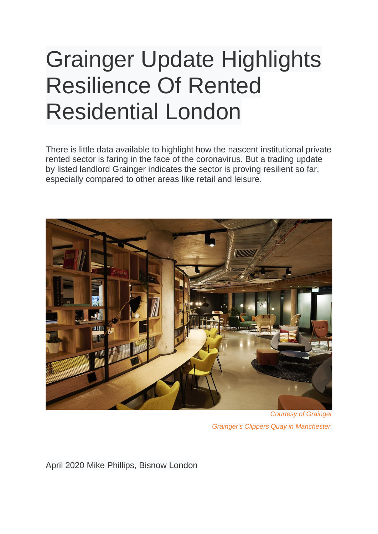## Grainger Update Highlights Resilience Of Rented Residential London

There is little data available to highlight how the nascent institutional private rented sector is faring in the face of the coronavirus. But a trading update by listed landlord Grainger indicates the sector is proving resilient so far, especially compared to other areas like retail and leisure.



*Courtesy of Grainger Grainger's Clippers Quay in Manchester.*

April 2020 Mike Phillips, Bisnow London